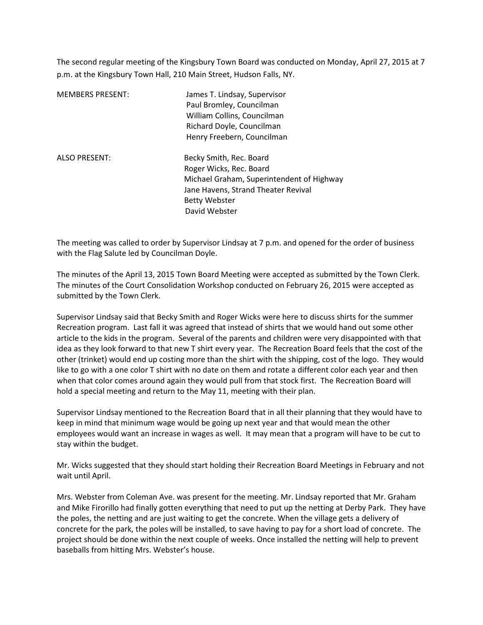The second regular meeting of the Kingsbury Town Board was conducted on Monday, April 27, 2015 at 7 p.m. at the Kingsbury Town Hall, 210 Main Street, Hudson Falls, NY.

| <b>MEMBERS PRESENT:</b> | James T. Lindsay, Supervisor<br>Paul Bromley, Councilman<br>William Collins, Councilman<br>Richard Doyle, Councilman<br>Henry Freebern, Councilman                              |
|-------------------------|---------------------------------------------------------------------------------------------------------------------------------------------------------------------------------|
| <b>ALSO PRESENT:</b>    | Becky Smith, Rec. Board<br>Roger Wicks, Rec. Board<br>Michael Graham, Superintendent of Highway<br>Jane Havens, Strand Theater Revival<br><b>Betty Webster</b><br>David Webster |

The meeting was called to order by Supervisor Lindsay at 7 p.m. and opened for the order of business with the Flag Salute led by Councilman Doyle.

The minutes of the April 13, 2015 Town Board Meeting were accepted as submitted by the Town Clerk. The minutes of the Court Consolidation Workshop conducted on February 26, 2015 were accepted as submitted by the Town Clerk.

Supervisor Lindsay said that Becky Smith and Roger Wicks were here to discuss shirts for the summer Recreation program. Last fall it was agreed that instead of shirts that we would hand out some other article to the kids in the program. Several of the parents and children were very disappointed with that idea as they look forward to that new T shirt every year. The Recreation Board feels that the cost of the other (trinket) would end up costing more than the shirt with the shipping, cost of the logo. They would like to go with a one color T shirt with no date on them and rotate a different color each year and then when that color comes around again they would pull from that stock first. The Recreation Board will hold a special meeting and return to the May 11, meeting with their plan.

Supervisor Lindsay mentioned to the Recreation Board that in all their planning that they would have to keep in mind that minimum wage would be going up next year and that would mean the other employees would want an increase in wages as well. It may mean that a program will have to be cut to stay within the budget.

Mr. Wicks suggested that they should start holding their Recreation Board Meetings in February and not wait until April.

Mrs. Webster from Coleman Ave. was present for the meeting. Mr. Lindsay reported that Mr. Graham and Mike Firorillo had finally gotten everything that need to put up the netting at Derby Park. They have the poles, the netting and are just waiting to get the concrete. When the village gets a delivery of concrete for the park, the poles will be installed, to save having to pay for a short load of concrete. The project should be done within the next couple of weeks. Once installed the netting will help to prevent baseballs from hitting Mrs. Webster's house.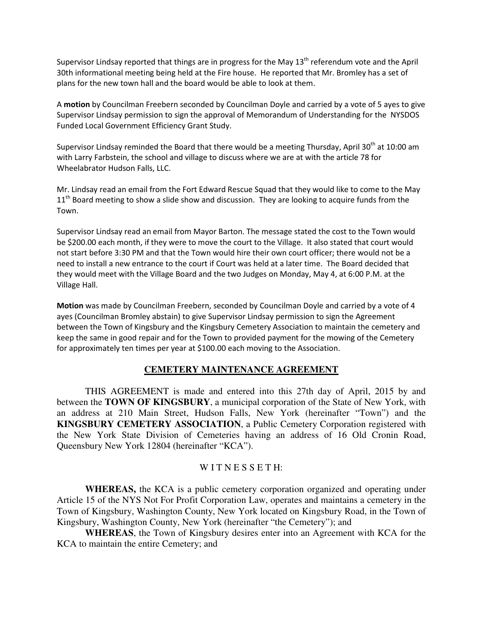Supervisor Lindsay reported that things are in progress for the May 13<sup>th</sup> referendum vote and the April 30th informational meeting being held at the Fire house. He reported that Mr. Bromley has a set of plans for the new town hall and the board would be able to look at them.

A **motion** by Councilman Freebern seconded by Councilman Doyle and carried by a vote of 5 ayes to give Supervisor Lindsay permission to sign the approval of Memorandum of Understanding for the NYSDOS Funded Local Government Efficiency Grant Study.

Supervisor Lindsay reminded the Board that there would be a meeting Thursday, April 30<sup>th</sup> at 10:00 am with Larry Farbstein, the school and village to discuss where we are at with the article 78 for Wheelabrator Hudson Falls, LLC.

Mr. Lindsay read an email from the Fort Edward Rescue Squad that they would like to come to the May  $11<sup>th</sup>$  Board meeting to show a slide show and discussion. They are looking to acquire funds from the Town.

Supervisor Lindsay read an email from Mayor Barton. The message stated the cost to the Town would be \$200.00 each month, if they were to move the court to the Village. It also stated that court would not start before 3:30 PM and that the Town would hire their own court officer; there would not be a need to install a new entrance to the court if Court was held at a later time. The Board decided that they would meet with the Village Board and the two Judges on Monday, May 4, at 6:00 P.M. at the Village Hall.

**Motion** was made by Councilman Freebern, seconded by Councilman Doyle and carried by a vote of 4 ayes (Councilman Bromley abstain) to give Supervisor Lindsay permission to sign the Agreement between the Town of Kingsbury and the Kingsbury Cemetery Association to maintain the cemetery and keep the same in good repair and for the Town to provided payment for the mowing of the Cemetery for approximately ten times per year at \$100.00 each moving to the Association.

### **CEMETERY MAINTENANCE AGREEMENT**

 THIS AGREEMENT is made and entered into this 27th day of April, 2015 by and between the **TOWN OF KINGSBURY**, a municipal corporation of the State of New York, with an address at 210 Main Street, Hudson Falls, New York (hereinafter "Town") and the **KINGSBURY CEMETERY ASSOCIATION**, a Public Cemetery Corporation registered with the New York State Division of Cemeteries having an address of 16 Old Cronin Road, Queensbury New York 12804 (hereinafter "KCA").

### WITNESSETH:

**WHEREAS,** the KCA is a public cemetery corporation organized and operating under Article 15 of the NYS Not For Profit Corporation Law, operates and maintains a cemetery in the Town of Kingsbury, Washington County, New York located on Kingsbury Road, in the Town of Kingsbury, Washington County, New York (hereinafter "the Cemetery"); and

**WHEREAS**, the Town of Kingsbury desires enter into an Agreement with KCA for the KCA to maintain the entire Cemetery; and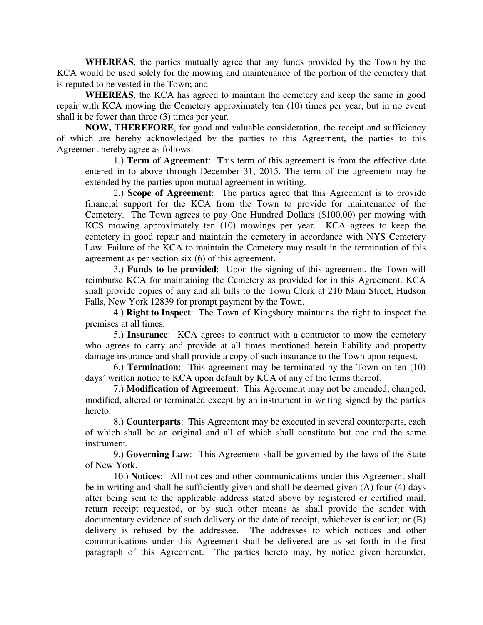**WHEREAS**, the parties mutually agree that any funds provided by the Town by the KCA would be used solely for the mowing and maintenance of the portion of the cemetery that is reputed to be vested in the Town; and

**WHEREAS**, the KCA has agreed to maintain the cemetery and keep the same in good repair with KCA mowing the Cemetery approximately ten (10) times per year, but in no event shall it be fewer than three (3) times per year.

**NOW, THEREFORE**, for good and valuable consideration, the receipt and sufficiency of which are hereby acknowledged by the parties to this Agreement, the parties to this Agreement hereby agree as follows:

1.) **Term of Agreement**: This term of this agreement is from the effective date entered in to above through December 31, 2015. The term of the agreement may be extended by the parties upon mutual agreement in writing.

2.) **Scope of Agreement**: The parties agree that this Agreement is to provide financial support for the KCA from the Town to provide for maintenance of the Cemetery. The Town agrees to pay One Hundred Dollars (\$100.00) per mowing with KCS mowing approximately ten (10) mowings per year. KCA agrees to keep the cemetery in good repair and maintain the cemetery in accordance with NYS Cemetery Law. Failure of the KCA to maintain the Cemetery may result in the termination of this agreement as per section six (6) of this agreement.

3.) **Funds to be provided**: Upon the signing of this agreement, the Town will reimburse KCA for maintaining the Cemetery as provided for in this Agreement. KCA shall provide copies of any and all bills to the Town Clerk at 210 Main Street, Hudson Falls, New York 12839 for prompt payment by the Town.

4.) **Right to Inspect**: The Town of Kingsbury maintains the right to inspect the premises at all times.

5.) **Insurance**: KCA agrees to contract with a contractor to mow the cemetery who agrees to carry and provide at all times mentioned herein liability and property damage insurance and shall provide a copy of such insurance to the Town upon request.

6.) **Termination**: This agreement may be terminated by the Town on ten (10) days' written notice to KCA upon default by KCA of any of the terms thereof.

7.) **Modification of Agreement**: This Agreement may not be amended, changed, modified, altered or terminated except by an instrument in writing signed by the parties hereto.

8.) **Counterparts**: This Agreement may be executed in several counterparts, each of which shall be an original and all of which shall constitute but one and the same instrument.

9.) **Governing Law**: This Agreement shall be governed by the laws of the State of New York.

10.) **Notices**: All notices and other communications under this Agreement shall be in writing and shall be sufficiently given and shall be deemed given (A) four (4) days after being sent to the applicable address stated above by registered or certified mail, return receipt requested, or by such other means as shall provide the sender with documentary evidence of such delivery or the date of receipt, whichever is earlier; or (B) delivery is refused by the addressee. The addresses to which notices and other communications under this Agreement shall be delivered are as set forth in the first paragraph of this Agreement. The parties hereto may, by notice given hereunder,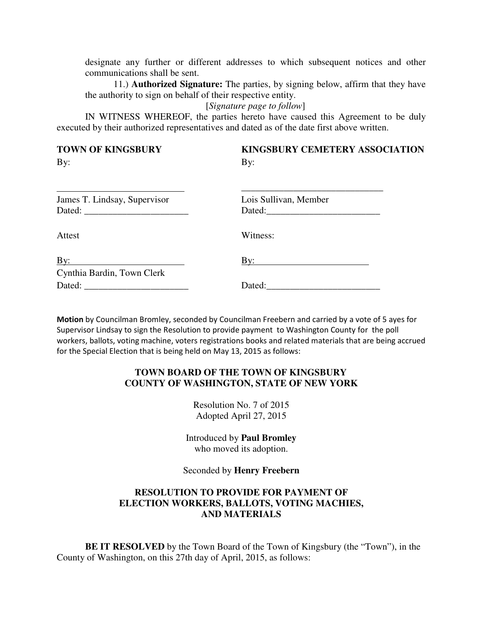designate any further or different addresses to which subsequent notices and other communications shall be sent.

11.) **Authorized Signature:** The parties, by signing below, affirm that they have the authority to sign on behalf of their respective entity.

#### [*Signature page to follow*]

IN WITNESS WHEREOF, the parties hereto have caused this Agreement to be duly executed by their authorized representatives and dated as of the date first above written.

**TOWN OF KINGSBURY KINGSBURY CEMETERY ASSOCIATION** 

By: By:

| James T. Lindsay, Supervisor | Lois Sullivan, Member |
|------------------------------|-----------------------|
| Attest                       | Witness:              |
| $\overline{By:}$             | By:                   |
| Cynthia Bardin, Town Clerk   | Dated:                |

**Motion** by Councilman Bromley, seconded by Councilman Freebern and carried by a vote of 5 ayes for Supervisor Lindsay to sign the Resolution to provide payment to Washington County for the poll workers, ballots, voting machine, voters registrations books and related materials that are being accrued for the Special Election that is being held on May 13, 2015 as follows:

### **TOWN BOARD OF THE TOWN OF KINGSBURY COUNTY OF WASHINGTON, STATE OF NEW YORK**

Resolution No. 7 of 2015 Adopted April 27, 2015

Introduced by **Paul Bromley** who moved its adoption.

#### Seconded by **Henry Freebern**

## **RESOLUTION TO PROVIDE FOR PAYMENT OF ELECTION WORKERS, BALLOTS, VOTING MACHIES, AND MATERIALS**

**BE IT RESOLVED** by the Town Board of the Town of Kingsbury (the "Town"), in the County of Washington, on this 27th day of April, 2015, as follows: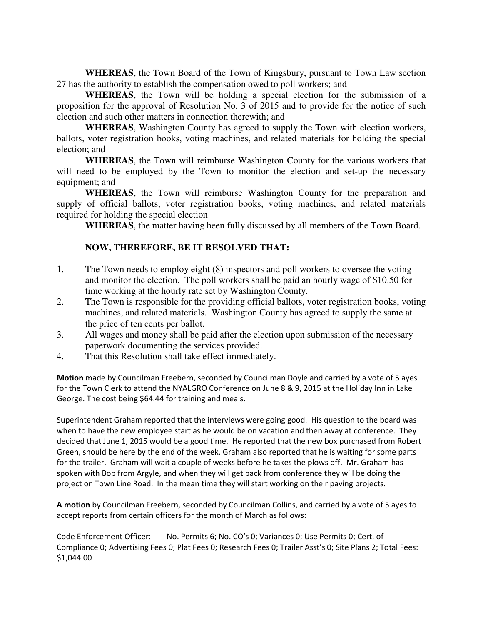**WHEREAS**, the Town Board of the Town of Kingsbury, pursuant to Town Law section 27 has the authority to establish the compensation owed to poll workers; and

**WHEREAS**, the Town will be holding a special election for the submission of a proposition for the approval of Resolution No. 3 of 2015 and to provide for the notice of such election and such other matters in connection therewith; and

**WHEREAS**, Washington County has agreed to supply the Town with election workers, ballots, voter registration books, voting machines, and related materials for holding the special election; and

**WHEREAS**, the Town will reimburse Washington County for the various workers that will need to be employed by the Town to monitor the election and set-up the necessary equipment; and

**WHEREAS**, the Town will reimburse Washington County for the preparation and supply of official ballots, voter registration books, voting machines, and related materials required for holding the special election

**WHEREAS**, the matter having been fully discussed by all members of the Town Board.

# **NOW, THEREFORE, BE IT RESOLVED THAT:**

- 1. The Town needs to employ eight (8) inspectors and poll workers to oversee the voting and monitor the election. The poll workers shall be paid an hourly wage of \$10.50 for time working at the hourly rate set by Washington County.
- 2. The Town is responsible for the providing official ballots, voter registration books, voting machines, and related materials. Washington County has agreed to supply the same at the price of ten cents per ballot.
- 3. All wages and money shall be paid after the election upon submission of the necessary paperwork documenting the services provided.
- 4. That this Resolution shall take effect immediately.

**Motion** made by Councilman Freebern, seconded by Councilman Doyle and carried by a vote of 5 ayes for the Town Clerk to attend the NYALGRO Conference on June 8 & 9, 2015 at the Holiday Inn in Lake George. The cost being \$64.44 for training and meals.

Superintendent Graham reported that the interviews were going good. His question to the board was when to have the new employee start as he would be on vacation and then away at conference. They decided that June 1, 2015 would be a good time. He reported that the new box purchased from Robert Green, should be here by the end of the week. Graham also reported that he is waiting for some parts for the trailer. Graham will wait a couple of weeks before he takes the plows off. Mr. Graham has spoken with Bob from Argyle, and when they will get back from conference they will be doing the project on Town Line Road. In the mean time they will start working on their paving projects.

**A motion** by Councilman Freebern, seconded by Councilman Collins, and carried by a vote of 5 ayes to accept reports from certain officers for the month of March as follows:

Code Enforcement Officer: No. Permits 6; No. CO's 0; Variances 0; Use Permits 0; Cert. of Compliance 0; Advertising Fees 0; Plat Fees 0; Research Fees 0; Trailer Asst's 0; Site Plans 2; Total Fees: \$1,044.00